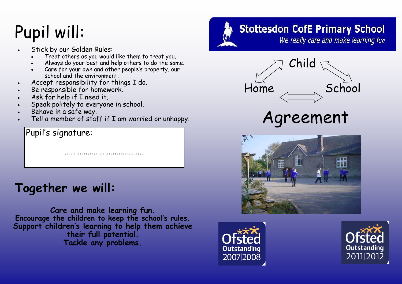## Pupil will:

- Stick by our Golden Rules:
	- Treat others as you would like them to treat you.
	- Always do your best and help others to do the same.
	- Care for your own and other people's property, our school and the environment.
- Accept responsibility for things I do.
- Be responsible for homework.
- Ask for help if I need it.
- Speak politely to everyone in school.
- Behave in a safe way.
- Tell a member of staff if I am worried or unhappy.

………………………………………………

Pupil's signature:

### **Together we will:**

**Care and make learning fun. Encourage the children to keep the school's rules. Support children's learning to help them achieve their full potential. Tackle any problems.**